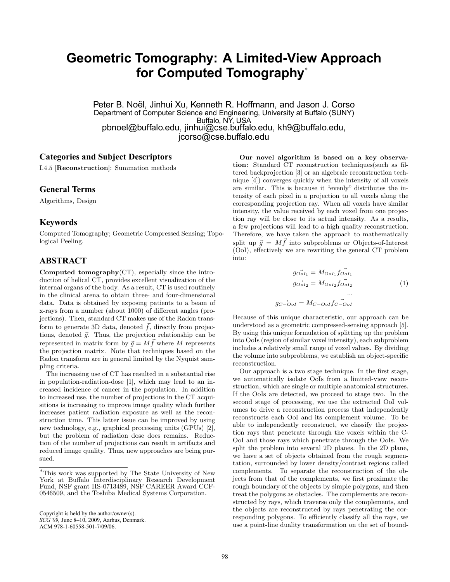# **Geometric Tomography: A Limited-View Approach for Computed Tomography**<sup>∗</sup>

Peter B. Noël, Jinhui Xu, Kenneth R. Hoffmann, and Jason J. Corso Department of Computer Science and Engineering, University at Buffalo (SUNY) Buffalo, NY, USA pbnoel@buffalo.edu, jinhui@cse.buffalo.edu, kh9@buffalo.edu, jcorso@cse.buffalo.edu

# **Categories and Subject Descriptors**

I.4.5 [Reconstruction]: Summation methods

## **General Terms**

Algorithms, Design

# **Keywords**

Computed Tomography; Geometric Compressed Sensing; Topological Peeling.

# **ABSTRACT**

Computed tomography $(CT)$ , especially since the introduction of helical CT, provides excellent visualization of the internal organs of the body. As a result, CT is used routinely in the clinical arena to obtain three- and four-dimensional data. Data is obtained by exposing patients to a beam of x-rays from a number (about 1000) of different angles (projections). Then, standard CT makes use of the Radon transform to generate 3D data, denoted  $\vec{f}$ , directly from projections, denoted  $\vec{g}$ . Thus, the projection relationship can be represented in matrix form by  $\vec{q} = M \vec{f}$  where M represents the projection matrix. Note that techniques based on the Radon transform are in general limited by the Nyquist sampling criteria.

The increasing use of CT has resulted in a substantial rise in population-radiation-dose [1], which may lead to an increased incidence of cancer in the population. In addition to increased use, the number of projections in the CT acquisitions is increasing to improve image quality which further increases patient radiation exposure as well as the reconstruction time. This latter issue can be improved by using new technology, e.g., graphical processing units (GPUs) [2], but the problem of radiation dose does remains. Reduction of the number of projections can result in artifacts and reduced image quality. Thus, new approaches are being pursued.

Our novel algorithm is based on a key observation: Standard CT reconstruction techniques(such as filtered backprojection [3] or an algebraic reconstruction technique [4]) converges quickly when the intensity of all voxels are similar. This is because it "evenly" distributes the intensity of each pixel in a projection to all voxels along the corresponding projection ray. When all voxels have similar intensity, the value received by each voxel from one projection ray will be close to its actual intensity. As a results, a few projections will lead to a high quality reconstruction. Therefore, we have taken the approach to mathematically split up  $\vec{q} = M \vec{f}$  into subproblems or Objects-of-Interest (OoI), effectively we are rewriting the general CT problem into:

$$
g_{\vec{o}}_{oI_1} = M_{OoI_1} f_{OoI_1} \overline{f_{OoI_1}}
$$
  
\n
$$
g_{OoI_2} = M_{OoI_2} f_{OoI_2} \qquad (1)
$$
  
\n
$$
g_C - O_{oI} = M_{C-OoI} f_{C-OoI}
$$

Because of this unique characteristic, our approach can be understood as a geometric compressed-sensing approach [5]. By using this unique formulation of splitting up the problem into OoIs (region of similar voxel intensity), each subproblem includes a relatively small range of voxel values. By dividing the volume into subproblems, we establish an object-specific reconstruction.

Our approach is a two stage technique. In the first stage, we automatically isolate OoIs from a limited-view reconstruction, which are single or multiple anatomical structures. If the OoIs are detected, we proceed to stage two. In the second stage of processing, we use the extracted OoI volumes to drive a reconstruction process that independently reconstructs each OoI and its complement volume. To be able to independently reconstruct, we classify the projection rays that penetrate through the voxels within the C-OoI and those rays which penetrate through the OoIs. We split the problem into several 2D planes. In the 2D plane, we have a set of objects obtained from the rough segmentation, surrounded by lower density/contrast regions called complements. To separate the reconstruction of the objects from that of the complements, we first proximate the rough boundary of the objects by simple polygons, and then treat the polygons as obstacles. The complements are reconstructed by rays, which traverse only the complements, and the objects are reconstructed by rays penetrating the corresponding polygons. To efficiently classify all the rays, we use a point-line duality transformation on the set of bound-

<sup>∗</sup>This work was supported by The State University of New York at Buffalo Interdisciplinary Research Development Fund, NSF grant IIS-0713489, NSF CAREER Award CCF-0546509, and the Toshiba Medical Systems Corporation.

Copyright is held by the author/owner(s). *SCG'09,* June 8–10, 2009, Aarhus, Denmark. ACM 978-1-60558-501-7/09/06.